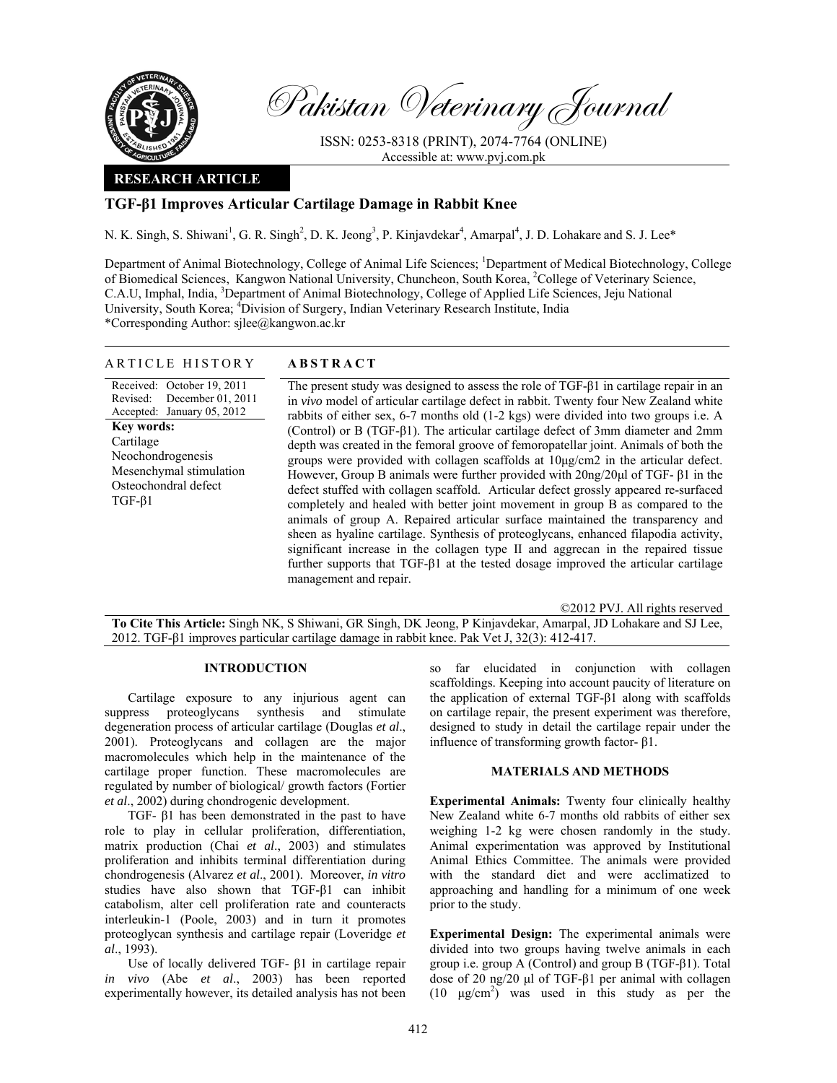

Pakistan Veterinary Journal

ISSN: 0253-8318 (PRINT), 2074-7764 (ONLINE) Accessible at: www.pvj.com.pk

## **RESEARCH ARTICLE**

# **TGF-β1 Improves Articular Cartilage Damage in Rabbit Knee**

N. K. Singh, S. Shiwani<sup>1</sup>, G. R. Singh<sup>2</sup>, D. K. Jeong<sup>3</sup>, P. Kinjavdekar<sup>4</sup>, Amarpal<sup>4</sup>, J. D. Lohakare and S. J. Lee\*

Department of Animal Biotechnology, College of Animal Life Sciences; <sup>1</sup>Department of Medical Biotechnology, College of Biomedical Sciences, Kangwon National University, Chuncheon, South Korea, <sup>2</sup>College of Veterinary Science, C.A.U, Imphal, India, <sup>3</sup>Department of Animal Biotechnology, College of Applied Life Sciences, Jeju National University, South Korea; <sup>4</sup>Division of Surgery, Indian Veterinary Research Institute, India \*Corresponding Author: sjlee@kangwon.ac.kr

| ARTICLE HISTORY                                                                                                                                                                                           | <b>ABSTRACT</b>                                                                                                                                                                                                                                                                                                                                                                                                                                                                                                                                                                                                                                                                                                                                                                                                                                                                                                                                                                                                                                                                                                                                                                                                                  |
|-----------------------------------------------------------------------------------------------------------------------------------------------------------------------------------------------------------|----------------------------------------------------------------------------------------------------------------------------------------------------------------------------------------------------------------------------------------------------------------------------------------------------------------------------------------------------------------------------------------------------------------------------------------------------------------------------------------------------------------------------------------------------------------------------------------------------------------------------------------------------------------------------------------------------------------------------------------------------------------------------------------------------------------------------------------------------------------------------------------------------------------------------------------------------------------------------------------------------------------------------------------------------------------------------------------------------------------------------------------------------------------------------------------------------------------------------------|
| Received: October 19, 2011<br>Revised: December 01, 2011<br>Accepted: January 05, 2012<br>Key words:<br>Cartilage<br>Neochondrogenesis<br>Mesenchymal stimulation<br>Osteochondral defect<br>$TGF-\beta1$ | The present study was designed to assess the role of $TGF-\beta1$ in cartilage repair in an<br>in vivo model of articular cartilage defect in rabbit. Twenty four New Zealand white<br>rabbits of either sex, 6-7 months old (1-2 kgs) were divided into two groups i.e. A<br>(Control) or B (TGF- $\beta$ 1). The articular cartilage defect of 3mm diameter and 2mm<br>depth was created in the femoral groove of femoropatellar joint. Animals of both the<br>groups were provided with collagen scaffolds at $10\mu\text{g/cm2}$ in the articular defect.<br>However, Group B animals were further provided with $20$ ng/ $20\mu$ l of TGF- $\beta$ 1 in the<br>defect stuffed with collagen scaffold. Articular defect grossly appeared re-surfaced<br>completely and healed with better joint movement in group B as compared to the<br>animals of group A. Repaired articular surface maintained the transparency and<br>sheen as hyaline cartilage. Synthesis of proteoglycans, enhanced filapodia activity,<br>significant increase in the collagen type II and aggrecan in the repaired tissue<br>further supports that TGF- $\beta$ 1 at the tested dosage improved the articular cartilage<br>management and repair. |

©2012 PVJ. All rights reserved

**To Cite This Article:** Singh NK, S Shiwani, GR Singh, DK Jeong, P Kinjavdekar, Amarpal, JD Lohakare and SJ Lee, 2012. TGF-β1 improves particular cartilage damage in rabbit knee. Pak Vet J, 32(3): 412-417.

## **INTRODUCTION**

Cartilage exposure to any injurious agent can suppress proteoglycans synthesis and stimulate degeneration process of articular cartilage (Douglas *et al*., 2001). Proteoglycans and collagen are the major macromolecules which help in the maintenance of the cartilage proper function. These macromolecules are regulated by number of biological/ growth factors (Fortier *et al*., 2002) during chondrogenic development.

TGF- β1 has been demonstrated in the past to have role to play in cellular proliferation, differentiation, matrix production (Chai *et al*., 2003) and stimulates proliferation and inhibits terminal differentiation during chondrogenesis (Alvarez *et al*., 2001). Moreover, *in vitro* studies have also shown that TGF-β1 can inhibit catabolism, alter cell proliferation rate and counteracts interleukin-1 (Poole, 2003) and in turn it promotes proteoglycan synthesis and cartilage repair (Loveridge *et al*., 1993).

Use of locally delivered TGF- β1 in cartilage repair *in vivo* (Abe *et al*., 2003) has been reported experimentally however, its detailed analysis has not been so far elucidated in conjunction with collagen scaffoldings. Keeping into account paucity of literature on the application of external TGF-β1 along with scaffolds on cartilage repair, the present experiment was therefore, designed to study in detail the cartilage repair under the influence of transforming growth factor- β1.

#### **MATERIALS AND METHODS**

**Experimental Animals:** Twenty four clinically healthy New Zealand white 6-7 months old rabbits of either sex weighing 1-2 kg were chosen randomly in the study. Animal experimentation was approved by Institutional Animal Ethics Committee. The animals were provided with the standard diet and were acclimatized to approaching and handling for a minimum of one week prior to the study.

**Experimental Design:** The experimental animals were divided into two groups having twelve animals in each group i.e. group A (Control) and group B (TGF-β1). Total dose of 20 ng/20 µl of TGF-β1 per animal with collagen  $(10 \text{ }\mu\text{g/cm}^2)$  was used in this study as per the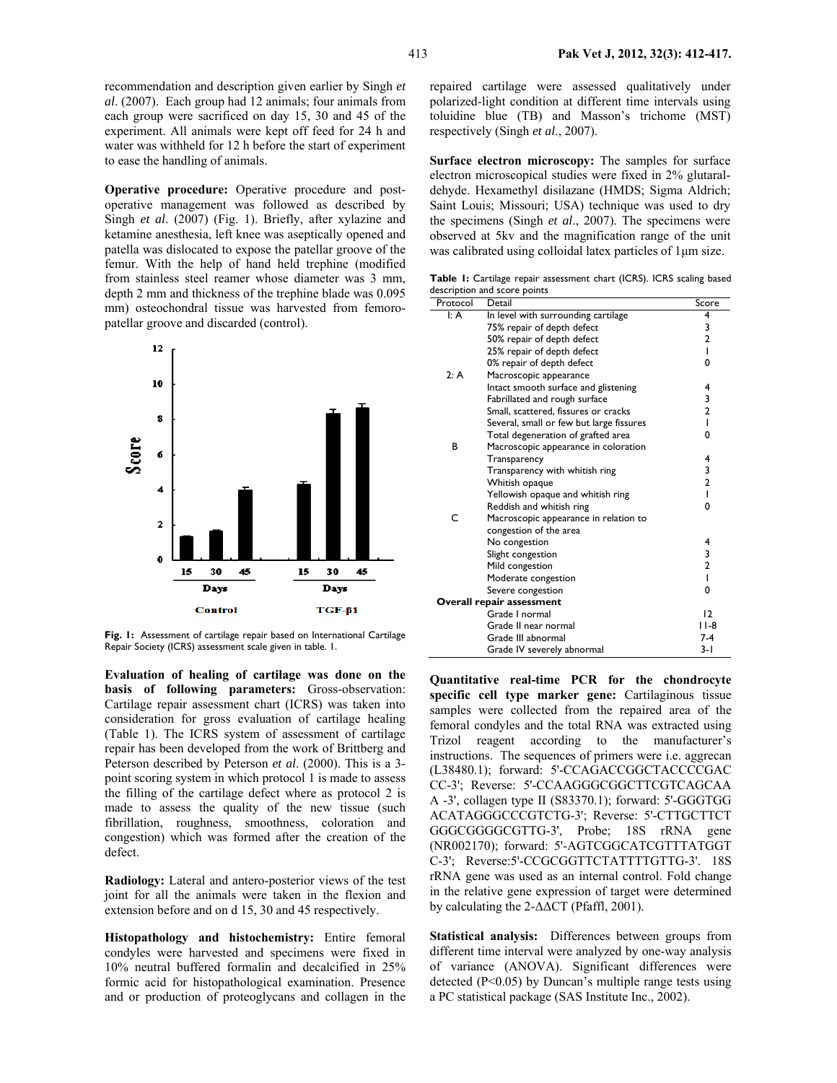recommendation and description given earlier by Singh *et al*. (2007). Each group had 12 animals; four animals from each group were sacrificed on day 15, 30 and 45 of the experiment. All animals were kept off feed for 24 h and water was withheld for 12 h before the start of experiment to ease the handling of animals.

**Operative procedure:** Operative procedure and postoperative management was followed as described by Singh *et al*. (2007) (Fig. 1). Briefly, after xylazine and ketamine anesthesia, left knee was aseptically opened and patella was dislocated to expose the patellar groove of the femur. With the help of hand held trephine (modified from stainless steel reamer whose diameter was 3 mm, depth 2 mm and thickness of the trephine blade was 0.095 mm) osteochondral tissue was harvested from femoropatellar groove and discarded (control).



**Fig. 1:** Assessment of cartilage repair based on International Cartilage Repair Society (ICRS) assessment scale given in table. 1.

**Evaluation of healing of cartilage was done on the basis of following parameters:** Gross-observation: Cartilage repair assessment chart (ICRS) was taken into consideration for gross evaluation of cartilage healing (Table 1). The ICRS system of assessment of cartilage repair has been developed from the work of Brittberg and Peterson described by Peterson *et al*. (2000). This is a 3 point scoring system in which protocol 1 is made to assess the filling of the cartilage defect where as protocol 2 is made to assess the quality of the new tissue (such fibrillation, roughness, smoothness, coloration and congestion) which was formed after the creation of the defect.

**Radiology:** Lateral and antero-posterior views of the test joint for all the animals were taken in the flexion and extension before and on d 15, 30 and 45 respectively.

**Histopathology and histochemistry:** Entire femoral condyles were harvested and specimens were fixed in 10% neutral buffered formalin and decalcified in 25% formic acid for histopathological examination. Presence and or production of proteoglycans and collagen in the repaired cartilage were assessed qualitatively under polarized-light condition at different time intervals using toluidine blue (TB) and Masson's trichome (MST) respectively (Singh *et al*., 2007).

**Surface electron microscopy:** The samples for surface electron microscopical studies were fixed in 2% glutaraldehyde. Hexamethyl disilazane (HMDS; Sigma Aldrich; Saint Louis; Missouri; USA) technique was used to dry the specimens (Singh *et al*., 2007). The specimens were observed at 5kv and the magnification range of the unit was calibrated using colloidal latex particles of 1µm size.

**Table 1:** Cartilage repair assessment chart (ICRS). ICRS scaling based description and score points

| Protocol                         | Detail                                   | Score          |
|----------------------------------|------------------------------------------|----------------|
| $\mathsf{I}: \mathsf{A}$         | In level with surrounding cartilage      | 4              |
|                                  | 75% repair of depth defect               | 3              |
|                                  | 50% repair of depth defect               | $\overline{2}$ |
|                                  | 25% repair of depth defect               | T              |
|                                  | 0% repair of depth defect                | 0              |
| 2: A                             | Macroscopic appearance                   |                |
|                                  | Intact smooth surface and glistening     | 4              |
|                                  | Fabrillated and rough surface            | 3              |
|                                  | Small, scattered, fissures or cracks     | $\overline{2}$ |
|                                  | Several, small or few but large fissures | T              |
|                                  | Total degeneration of grafted area       | 0              |
| в                                | Macroscopic appearance in coloration     |                |
|                                  | Transparency                             | 4              |
|                                  | Transparency with whitish ring           | 3<br>2         |
|                                  | Whitish opaque                           |                |
|                                  | Yellowish opaque and whitish ring        | T              |
|                                  | Reddish and whitish ring                 | 0              |
| C                                | Macroscopic appearance in relation to    |                |
|                                  | congestion of the area                   |                |
|                                  | No congestion                            | 4              |
|                                  | Slight congestion                        | $\frac{3}{2}$  |
|                                  | Mild congestion                          |                |
|                                  | Moderate congestion                      | $\overline{1}$ |
|                                  | Severe congestion                        | 0              |
| <b>Overall repair assessment</b> |                                          |                |
|                                  | Grade I normal                           | 12             |
|                                  | Grade II near normal                     | I I-8          |
|                                  | Grade III abnormal                       | 7-4            |
|                                  | Grade IV severely abnormal               | 3- I           |

**Quantitative real-time PCR for the chondrocyte specific cell type marker gene:** Cartilaginous tissue samples were collected from the repaired area of the femoral condyles and the total RNA was extracted using Trizol reagent according to the manufacturer's instructions. The sequences of primers were i.e. aggrecan (L38480.1); forward: 5'-CCAGACCGGCTACCCCGAC CC-3'; Reverse: 5'-CCAAGGGCGGCTTCGTCAGCAA A -3', collagen type II (S83370.1); forward: 5'-GGGTGG ACATAGGGCCCGTCTG-3'; Reverse: 5'-CTTGCTTCT GGGCGGGGCGTTG-3', Probe; 18S rRNA gene (NR002170); forward: 5'-AGTCGGCATCGTTTATGGT C-3'; Reverse:5'-CCGCGGTTCTATTTTGTTG-3'. 18S rRNA gene was used as an internal control. Fold change in the relative gene expression of target were determined by calculating the 2-∆∆CT (Pfaffl, 2001).

**Statistical analysis:** Differences between groups from different time interval were analyzed by one-way analysis of variance (ANOVA). Significant differences were detected (P<0.05) by Duncan's multiple range tests using a PC statistical package (SAS Institute Inc., 2002).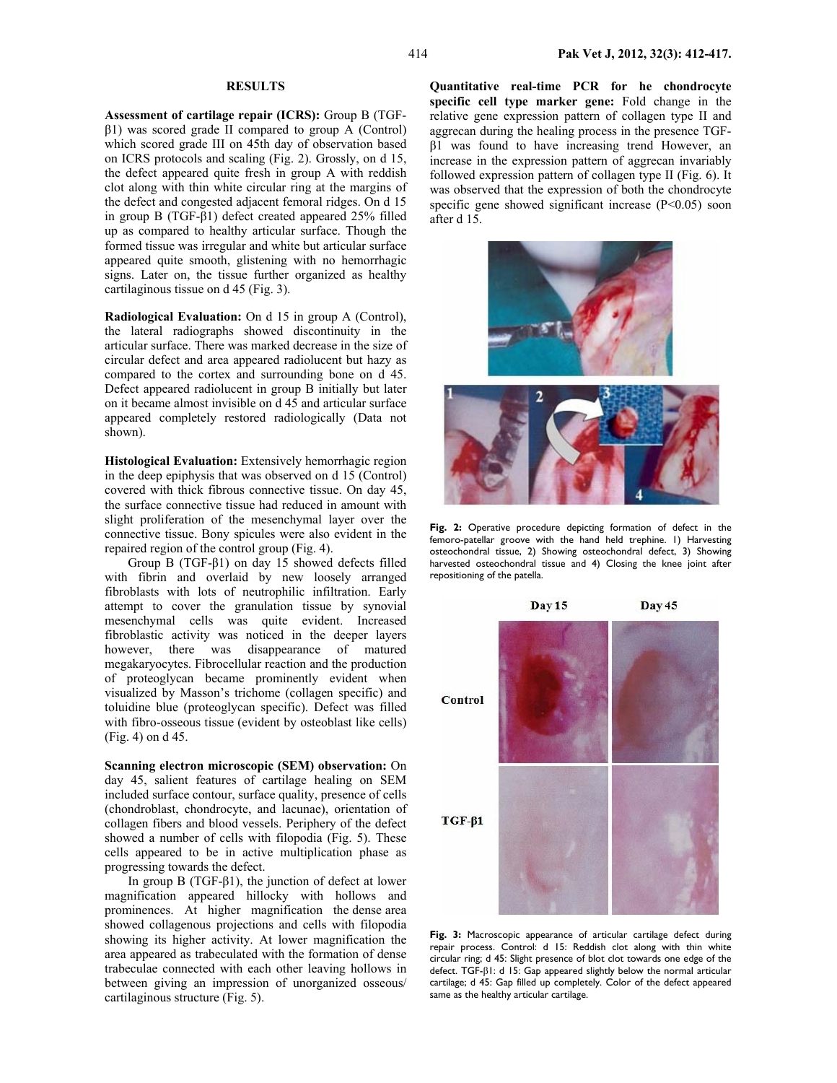**Assessment of cartilage repair (ICRS):** Group B (TGFβ1) was scored grade II compared to group A (Control) which scored grade III on 45th day of observation based on ICRS protocols and scaling (Fig. 2). Grossly, on d 15, the defect appeared quite fresh in group A with reddish clot along with thin white circular ring at the margins of the defect and congested adjacent femoral ridges. On d 15 in group B (TGF-β1) defect created appeared 25% filled up as compared to healthy articular surface. Though the formed tissue was irregular and white but articular surface appeared quite smooth, glistening with no hemorrhagic signs. Later on, the tissue further organized as healthy cartilaginous tissue on d 45 (Fig. 3).

**Radiological Evaluation:** On d 15 in group A (Control), the lateral radiographs showed discontinuity in the articular surface. There was marked decrease in the size of circular defect and area appeared radiolucent but hazy as compared to the cortex and surrounding bone on d 45. Defect appeared radiolucent in group B initially but later on it became almost invisible on d 45 and articular surface appeared completely restored radiologically (Data not shown).

**Histological Evaluation:** Extensively hemorrhagic region in the deep epiphysis that was observed on d 15 (Control) covered with thick fibrous connective tissue. On day 45, the surface connective tissue had reduced in amount with slight proliferation of the mesenchymal layer over the connective tissue. Bony spicules were also evident in the repaired region of the control group (Fig. 4).

Group B (TGF-β1) on day 15 showed defects filled with fibrin and overlaid by new loosely arranged fibroblasts with lots of neutrophilic infiltration. Early attempt to cover the granulation tissue by synovial mesenchymal cells was quite evident. Increased fibroblastic activity was noticed in the deeper layers however, there was disappearance of matured megakaryocytes. Fibrocellular reaction and the production of proteoglycan became prominently evident when visualized by Masson's trichome (collagen specific) and toluidine blue (proteoglycan specific). Defect was filled with fibro-osseous tissue (evident by osteoblast like cells) (Fig. 4) on d 45.

**Scanning electron microscopic (SEM) observation:** On day 45, salient features of cartilage healing on SEM included surface contour, surface quality, presence of cells (chondroblast, chondrocyte, and lacunae), orientation of collagen fibers and blood vessels. Periphery of the defect showed a number of cells with filopodia (Fig. 5). These cells appeared to be in active multiplication phase as progressing towards the defect.

In group B (TGF-β1), the junction of defect at lower magnification appeared hillocky with hollows and prominences. At higher magnification the dense area showed collagenous projections and cells with filopodia showing its higher activity. At lower magnification the area appeared as trabeculated with the formation of dense trabeculae connected with each other leaving hollows in between giving an impression of unorganized osseous/ cartilaginous structure (Fig. 5).

**Quantitative real-time PCR for he chondrocyte specific cell type marker gene:** Fold change in the relative gene expression pattern of collagen type II and aggrecan during the healing process in the presence TGFβ1 was found to have increasing trend However, an increase in the expression pattern of aggrecan invariably followed expression pattern of collagen type II (Fig. 6). It was observed that the expression of both the chondrocyte specific gene showed significant increase (P<0.05) soon after d 15.



**Fig. 2:** Operative procedure depicting formation of defect in the femoro-patellar groove with the hand held trephine. 1) Harvesting osteochondral tissue, 2) Showing osteochondral defect, 3) Showing harvested osteochondral tissue and 4) Closing the knee joint after repositioning of the patella.



**Fig. 3:** Macroscopic appearance of articular cartilage defect during repair process. Control: d 15: Reddish clot along with thin white circular ring; d 45: Slight presence of blot clot towards one edge of the defect. TGF-β1: d 15: Gap appeared slightly below the normal articular cartilage; d 45: Gap filled up completely. Color of the defect appeared same as the healthy articular cartilage.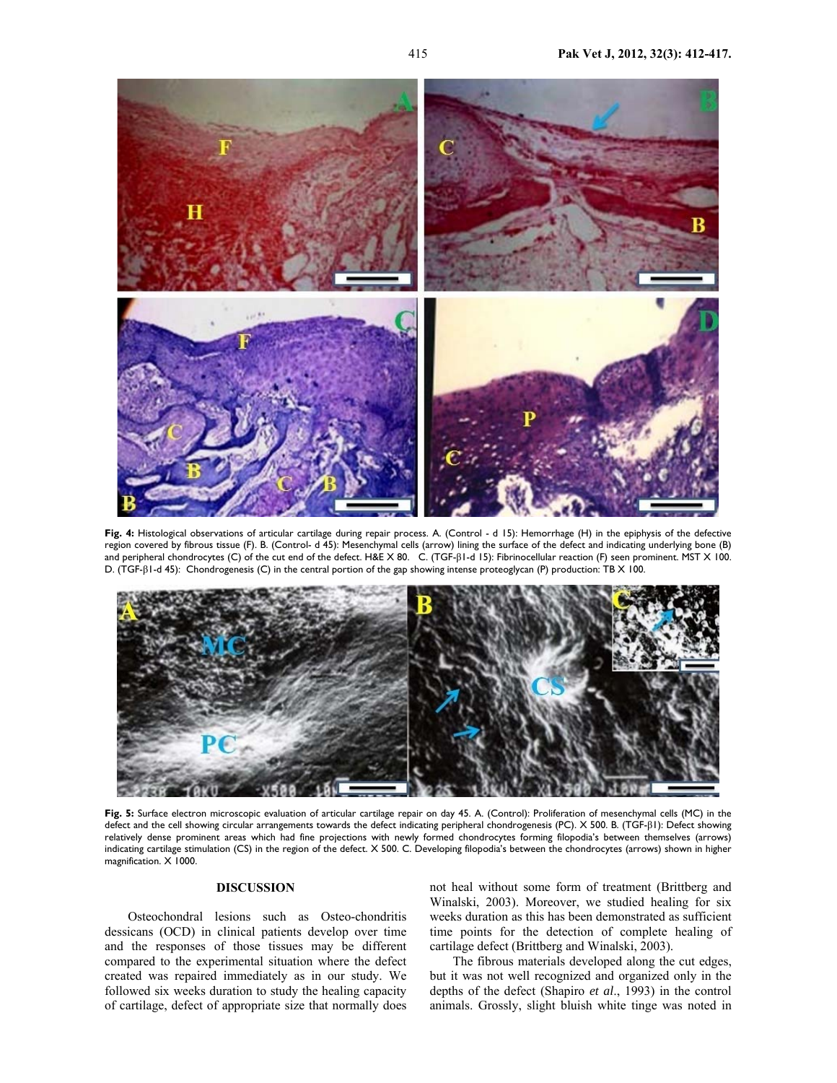

**Fig. 4:** Histological observations of articular cartilage during repair process. A. (Control - d 15): Hemorrhage (H) in the epiphysis of the defective region covered by fibrous tissue (F). B. (Control- d 45): Mesenchymal cells (arrow) lining the surface of the defect and indicating underlying bone (B) and peripheral chondrocytes (C) of the cut end of the defect. H&E X 80. C. (TGF-β1-d 15): Fibrinocellular reaction (F) seen prominent. MST X 100. D. (TGF-β1-d 45): Chondrogenesis (C) in the central portion of the gap showing intense proteoglycan (P) production: TB X 100.



**Fig. 5:** Surface electron microscopic evaluation of articular cartilage repair on day 45. A. (Control): Proliferation of mesenchymal cells (MC) in the defect and the cell showing circular arrangements towards the defect indicating peripheral chondrogenesis (PC). X 500. B. (TGF-β1): Defect showing relatively dense prominent areas which had fine projections with newly formed chondrocytes forming filopodia's between themselves (arrows) indicating cartilage stimulation (CS) in the region of the defect. X 500. C. Developing filopodia's between the chondrocytes (arrows) shown in higher magnification. X 1000.

## **DISCUSSION**

Osteochondral lesions such as Osteo-chondritis dessicans (OCD) in clinical patients develop over time and the responses of those tissues may be different compared to the experimental situation where the defect created was repaired immediately as in our study. We followed six weeks duration to study the healing capacity of cartilage, defect of appropriate size that normally does

not heal without some form of treatment (Brittberg and Winalski, 2003). Moreover, we studied healing for six weeks duration as this has been demonstrated as sufficient time points for the detection of complete healing of cartilage defect (Brittberg and Winalski, 2003).

The fibrous materials developed along the cut edges, but it was not well recognized and organized only in the depths of the defect (Shapiro *et al*., 1993) in the control animals. Grossly, slight bluish white tinge was noted in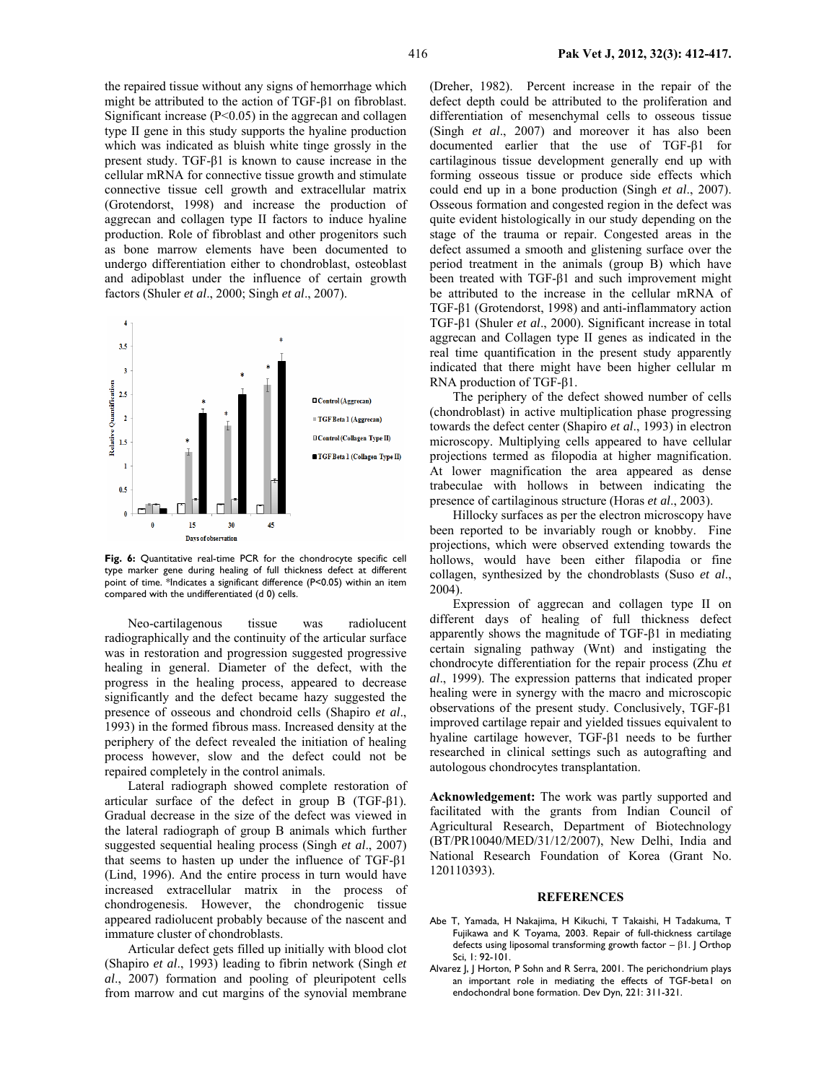the repaired tissue without any signs of hemorrhage which might be attributed to the action of TGF-β1 on fibroblast. Significant increase  $(P<0.05)$  in the aggrecan and collagen type II gene in this study supports the hyaline production which was indicated as bluish white tinge grossly in the present study. TGF-β1 is known to cause increase in the cellular mRNA for connective tissue growth and stimulate connective tissue cell growth and extracellular matrix (Grotendorst, 1998) and increase the production of aggrecan and collagen type II factors to induce hyaline production. Role of fibroblast and other progenitors such as bone marrow elements have been documented to undergo differentiation either to chondroblast, osteoblast and adipoblast under the influence of certain growth factors (Shuler *et al*., 2000; Singh *et al*., 2007).



**Fig. 6:** Quantitative real-time PCR for the chondrocyte specific cell type marker gene during healing of full thickness defect at different point of time. \*Indicates a significant difference (P<0.05) within an item compared with the undifferentiated (d 0) cells.

Neo-cartilagenous tissue was radiolucent radiographically and the continuity of the articular surface was in restoration and progression suggested progressive healing in general. Diameter of the defect, with the progress in the healing process, appeared to decrease significantly and the defect became hazy suggested the presence of osseous and chondroid cells (Shapiro *et al*., 1993) in the formed fibrous mass. Increased density at the periphery of the defect revealed the initiation of healing process however, slow and the defect could not be repaired completely in the control animals.

Lateral radiograph showed complete restoration of articular surface of the defect in group B (TGF-β1). Gradual decrease in the size of the defect was viewed in the lateral radiograph of group B animals which further suggested sequential healing process (Singh *et al*., 2007) that seems to hasten up under the influence of TGF-β1 (Lind, 1996). And the entire process in turn would have increased extracellular matrix in the process of chondrogenesis. However, the chondrogenic tissue appeared radiolucent probably because of the nascent and immature cluster of chondroblasts.

Articular defect gets filled up initially with blood clot (Shapiro *et al*., 1993) leading to fibrin network (Singh *et al*., 2007) formation and pooling of pleuripotent cells from marrow and cut margins of the synovial membrane

(Dreher, 1982). Percent increase in the repair of the defect depth could be attributed to the proliferation and differentiation of mesenchymal cells to osseous tissue (Singh *et al*., 2007) and moreover it has also been documented earlier that the use of TGF-β1 for cartilaginous tissue development generally end up with forming osseous tissue or produce side effects which could end up in a bone production (Singh *et al*., 2007). Osseous formation and congested region in the defect was quite evident histologically in our study depending on the stage of the trauma or repair. Congested areas in the defect assumed a smooth and glistening surface over the period treatment in the animals (group B) which have been treated with TGF-β1 and such improvement might be attributed to the increase in the cellular mRNA of TGF-β1 (Grotendorst, 1998) and anti-inflammatory action TGF-β1 (Shuler *et al*., 2000). Significant increase in total aggrecan and Collagen type II genes as indicated in the real time quantification in the present study apparently indicated that there might have been higher cellular m RNA production of TGF-β1.

The periphery of the defect showed number of cells (chondroblast) in active multiplication phase progressing towards the defect center (Shapiro *et al*., 1993) in electron microscopy. Multiplying cells appeared to have cellular projections termed as filopodia at higher magnification. At lower magnification the area appeared as dense trabeculae with hollows in between indicating the presence of cartilaginous structure (Horas *et al*., 2003).

Hillocky surfaces as per the electron microscopy have been reported to be invariably rough or knobby. Fine projections, which were observed extending towards the hollows, would have been either filapodia or fine collagen, synthesized by the chondroblasts (Suso *et al*., 2004).

Expression of aggrecan and collagen type II on different days of healing of full thickness defect apparently shows the magnitude of TGF-β1 in mediating certain signaling pathway (Wnt) and instigating the chondrocyte differentiation for the repair process (Zhu *et al*., 1999). The expression patterns that indicated proper healing were in synergy with the macro and microscopic observations of the present study. Conclusively, TGF-β1 improved cartilage repair and yielded tissues equivalent to hyaline cartilage however, TGF-β1 needs to be further researched in clinical settings such as autografting and autologous chondrocytes transplantation.

**Acknowledgement:** The work was partly supported and facilitated with the grants from Indian Council of Agricultural Research, Department of Biotechnology (BT/PR10040/MED/31/12/2007), New Delhi, India and National Research Foundation of Korea (Grant No. 120110393).

#### **REFERENCES**

- Abe T, Yamada, H Nakajima, H Kikuchi, T Takaishi, H Tadakuma, T Fujikawa and K Toyama, 2003. Repair of full-thickness cartilage defects using liposomal transforming growth factor  $-$  β1. J Orthop Sci, 1: 92-101.
- Alvarez J, J Horton, P Sohn and R Serra, 2001. The perichondrium plays an important role in mediating the effects of TGF-beta1 on endochondral bone formation. Dev Dyn, 221: 311-321.